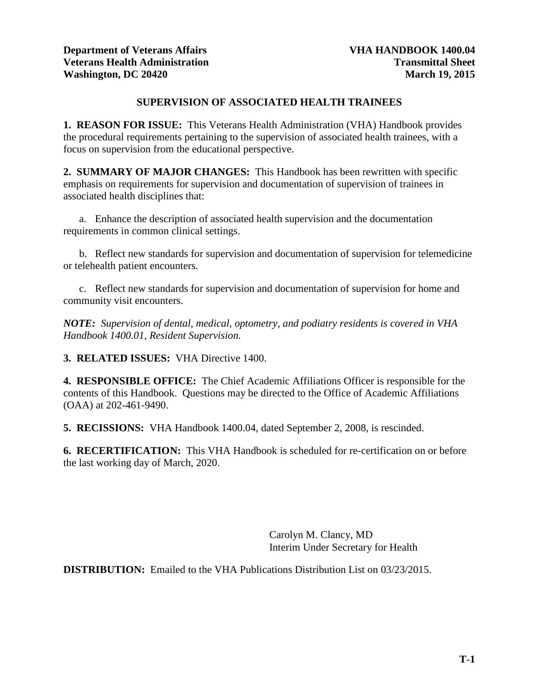# **SUPERVISION OF ASSOCIATED HEALTH TRAINEES**

**1. REASON FOR ISSUE:** This Veterans Health Administration (VHA) Handbook provides the procedural requirements pertaining to the supervision of associated health trainees, with a focus on supervision from the educational perspective.

**2. SUMMARY OF MAJOR CHANGES:** This Handbook has been rewritten with specific emphasis on requirements for supervision and documentation of supervision of trainees in associated health disciplines that:

a. Enhance the description of associated health supervision and the documentation requirements in common clinical settings.

b. Reflect new standards for supervision and documentation of supervision for telemedicine or telehealth patient encounters.

c. Reflect new standards for supervision and documentation of supervision for home and community visit encounters.

*NOTE: Supervision of dental, medical, optometry, and podiatry residents is covered in VHA Handbook 1400.01, Resident Supervision.*

**3. RELATED ISSUES:** VHA Directive 1400.

**4. RESPONSIBLE OFFICE:** The Chief Academic Affiliations Officer is responsible for the contents of this Handbook. Questions may be directed to the Office of Academic Affiliations (OAA) at 202-461-9490.

**5. RECISSIONS:** VHA Handbook 1400.04, dated September 2, 2008, is rescinded.

**6. RECERTIFICATION:** This VHA Handbook is scheduled for re-certification on or before the last working day of March, 2020.

> Carolyn M. Clancy, MD Interim Under Secretary for Health

**DISTRIBUTION:** Emailed to the VHA Publications Distribution List on 03/23/2015.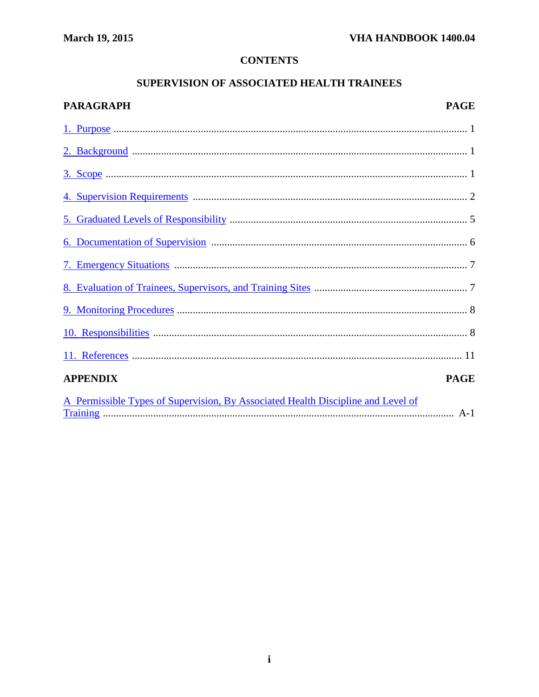# **CONTENTS**

# SUPERVISION OF ASSOCIATED HEALTH TRAINEES

| PARAGRAPH                                                                        | <b>PAGE</b> |
|----------------------------------------------------------------------------------|-------------|
|                                                                                  |             |
|                                                                                  |             |
|                                                                                  |             |
|                                                                                  |             |
|                                                                                  |             |
|                                                                                  |             |
|                                                                                  |             |
|                                                                                  |             |
|                                                                                  |             |
|                                                                                  |             |
|                                                                                  |             |
| <b>APPENDIX</b>                                                                  | <b>PAGE</b> |
| A Permissible Types of Supervision, By Associated Health Discipline and Level of |             |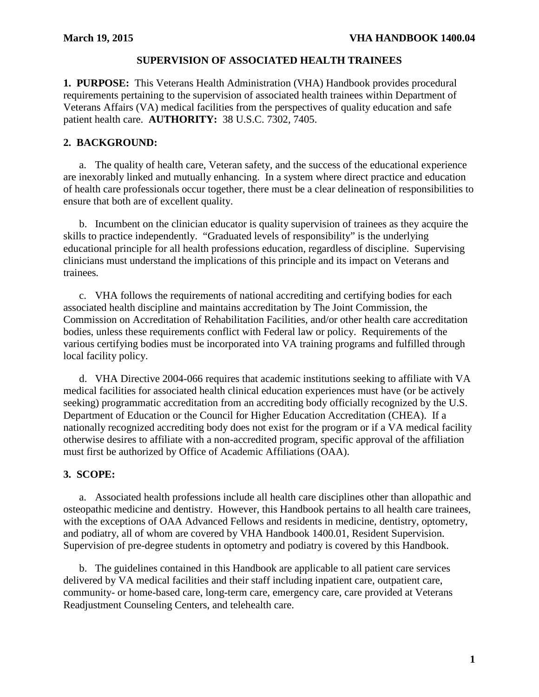## **SUPERVISION OF ASSOCIATED HEALTH TRAINEES**

<span id="page-2-0"></span>**1. PURPOSE:** This Veterans Health Administration (VHA) Handbook provides procedural requirements pertaining to the supervision of associated health trainees within Department of Veterans Affairs (VA) medical facilities from the perspectives of quality education and safe patient health care. **AUTHORITY:** 38 U.S.C. 7302, 7405.

## <span id="page-2-1"></span>**2. BACKGROUND:**

a. The quality of health care, Veteran safety, and the success of the educational experience are inexorably linked and mutually enhancing. In a system where direct practice and education of health care professionals occur together, there must be a clear delineation of responsibilities to ensure that both are of excellent quality.

b. Incumbent on the clinician educator is quality supervision of trainees as they acquire the skills to practice independently. "Graduated levels of responsibility" is the underlying educational principle for all health professions education, regardless of discipline. Supervising clinicians must understand the implications of this principle and its impact on Veterans and trainees*.*

c. VHA follows the requirements of national accrediting and certifying bodies for each associated health discipline and maintains accreditation by The Joint Commission, the Commission on Accreditation of Rehabilitation Facilities, and/or other health care accreditation bodies, unless these requirements conflict with Federal law or policy. Requirements of the various certifying bodies must be incorporated into VA training programs and fulfilled through local facility policy.

d. VHA Directive 2004-066 requires that academic institutions seeking to affiliate with VA medical facilities for associated health clinical education experiences must have (or be actively seeking) programmatic accreditation from an accrediting body officially recognized by the U.S. Department of Education or the Council for Higher Education Accreditation (CHEA). If a nationally recognized accrediting body does not exist for the program or if a VA medical facility otherwise desires to affiliate with a non-accredited program, specific approval of the affiliation must first be authorized by Office of Academic Affiliations (OAA).

## <span id="page-2-2"></span>**3. SCOPE:**

a. Associated health professions include all health care disciplines other than allopathic and osteopathic medicine and dentistry. However, this Handbook pertains to all health care trainees, with the exceptions of OAA Advanced Fellows and residents in medicine, dentistry, optometry, and podiatry, all of whom are covered by VHA Handbook 1400.01, Resident Supervision. Supervision of pre-degree students in optometry and podiatry is covered by this Handbook.

<span id="page-2-3"></span>b. The guidelines contained in this Handbook are applicable to all patient care services delivered by VA medical facilities and their staff including inpatient care, outpatient care, community- or home-based care, long-term care, emergency care, care provided at Veterans Readjustment Counseling Centers, and telehealth care.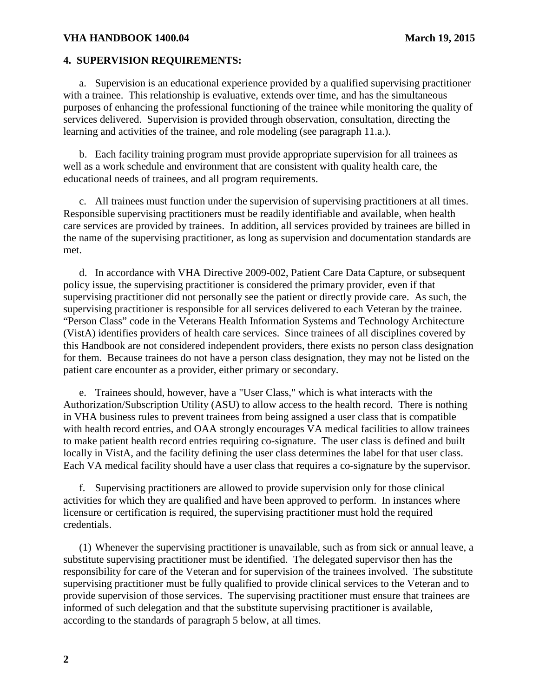### **4. SUPERVISION REQUIREMENTS:**

 a. Supervision is an educational experience provided by a qualified supervising practitioner with a trainee. This relationship is evaluative, extends over time, and has the simultaneous purposes of enhancing the professional functioning of the trainee while monitoring the quality of services delivered. Supervision is provided through observation, consultation, directing the learning and activities of the trainee, and role modeling (see paragraph 11.a.).

 b. Each facility training program must provide appropriate supervision for all trainees as well as a work schedule and environment that are consistent with quality health care, the educational needs of trainees, and all program requirements.

 c. All trainees must function under the supervision of supervising practitioners at all times. Responsible supervising practitioners must be readily identifiable and available, when health care services are provided by trainees. In addition, all services provided by trainees are billed in the name of the supervising practitioner, as long as supervision and documentation standards are met.

 d. In accordance with VHA Directive 2009-002, Patient Care Data Capture, or subsequent policy issue, the supervising practitioner is considered the primary provider, even if that supervising practitioner did not personally see the patient or directly provide care. As such, the supervising practitioner is responsible for all services delivered to each Veteran by the trainee. "Person Class" code in the Veterans Health Information Systems and Technology Architecture (VistA) identifies providers of health care services. Since trainees of all disciplines covered by this Handbook are not considered independent providers, there exists no person class designation for them. Because trainees do not have a person class designation, they may not be listed on the patient care encounter as a provider, either primary or secondary.

 e. Trainees should, however, have a "User Class," which is what interacts with the Authorization/Subscription Utility (ASU) to allow access to the health record. There is nothing in VHA business rules to prevent trainees from being assigned a user class that is compatible with health record entries, and OAA strongly encourages VA medical facilities to allow trainees to make patient health record entries requiring co-signature. The user class is defined and built locally in VistA, and the facility defining the user class determines the label for that user class. Each VA medical facility should have a user class that requires a co-signature by the supervisor.

 f. Supervising practitioners are allowed to provide supervision only for those clinical activities for which they are qualified and have been approved to perform. In instances where licensure or certification is required, the supervising practitioner must hold the required credentials.

(1) Whenever the supervising practitioner is unavailable, such as from sick or annual leave, a substitute supervising practitioner must be identified. The delegated supervisor then has the responsibility for care of the Veteran and for supervision of the trainees involved. The substitute supervising practitioner must be fully qualified to provide clinical services to the Veteran and to provide supervision of those services. The supervising practitioner must ensure that trainees are informed of such delegation and that the substitute supervising practitioner is available, according to the standards of paragraph 5 below, at all times.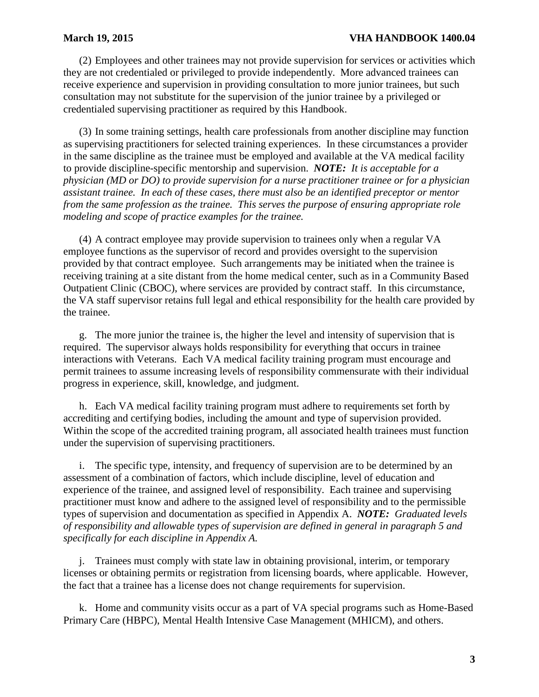(2) Employees and other trainees may not provide supervision for services or activities which they are not credentialed or privileged to provide independently. More advanced trainees can receive experience and supervision in providing consultation to more junior trainees, but such consultation may not substitute for the supervision of the junior trainee by a privileged or credentialed supervising practitioner as required by this Handbook.

(3) In some training settings, health care professionals from another discipline may function as supervising practitioners for selected training experiences. In these circumstances a provider in the same discipline as the trainee must be employed and available at the VA medical facility to provide discipline-specific mentorship and supervision. *NOTE: It is acceptable for a physician (MD or DO) to provide supervision for a nurse practitioner trainee or for a physician assistant trainee. In each of these cases, there must also be an identified preceptor or mentor from the same profession as the trainee. This serves the purpose of ensuring appropriate role modeling and scope of practice examples for the trainee.*

(4) A contract employee may provide supervision to trainees only when a regular VA employee functions as the supervisor of record and provides oversight to the supervision provided by that contract employee. Such arrangements may be initiated when the trainee is receiving training at a site distant from the home medical center, such as in a Community Based Outpatient Clinic (CBOC), where services are provided by contract staff. In this circumstance, the VA staff supervisor retains full legal and ethical responsibility for the health care provided by the trainee.

 g. The more junior the trainee is, the higher the level and intensity of supervision that is required. The supervisor always holds responsibility for everything that occurs in trainee interactions with Veterans. Each VA medical facility training program must encourage and permit trainees to assume increasing levels of responsibility commensurate with their individual progress in experience, skill, knowledge, and judgment.

 h. Each VA medical facility training program must adhere to requirements set forth by accrediting and certifying bodies, including the amount and type of supervision provided. Within the scope of the accredited training program, all associated health trainees must function under the supervision of supervising practitioners.

 i. The specific type, intensity, and frequency of supervision are to be determined by an assessment of a combination of factors, which include discipline, level of education and experience of the trainee, and assigned level of responsibility. Each trainee and supervising practitioner must know and adhere to the assigned level of responsibility and to the permissible types of supervision and documentation as specified in Appendix A. *NOTE: Graduated levels of responsibility and allowable types of supervision are defined in general in paragraph 5 and specifically for each discipline in Appendix A.*

 j. Trainees must comply with state law in obtaining provisional, interim, or temporary licenses or obtaining permits or registration from licensing boards, where applicable. However, the fact that a trainee has a license does not change requirements for supervision.

 k. Home and community visits occur as a part of VA special programs such as Home-Based Primary Care (HBPC), Mental Health Intensive Case Management (MHICM), and others.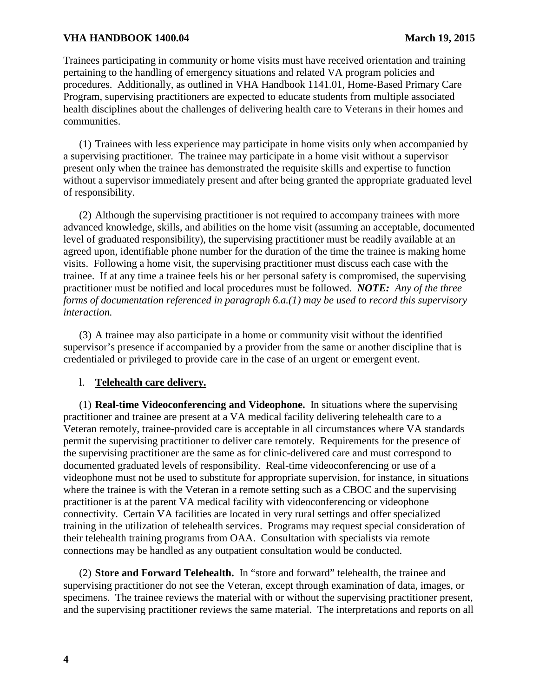Trainees participating in community or home visits must have received orientation and training pertaining to the handling of emergency situations and related VA program policies and procedures. Additionally, as outlined in VHA Handbook 1141.01, Home-Based Primary Care Program, supervising practitioners are expected to educate students from multiple associated health disciplines about the challenges of delivering health care to Veterans in their homes and communities.

(1) Trainees with less experience may participate in home visits only when accompanied by a supervising practitioner. The trainee may participate in a home visit without a supervisor present only when the trainee has demonstrated the requisite skills and expertise to function without a supervisor immediately present and after being granted the appropriate graduated level of responsibility.

(2) Although the supervising practitioner is not required to accompany trainees with more advanced knowledge, skills, and abilities on the home visit (assuming an acceptable, documented level of graduated responsibility), the supervising practitioner must be readily available at an agreed upon, identifiable phone number for the duration of the time the trainee is making home visits. Following a home visit, the supervising practitioner must discuss each case with the trainee. If at any time a trainee feels his or her personal safety is compromised, the supervising practitioner must be notified and local procedures must be followed. *NOTE: Any of the three forms of documentation referenced in paragraph 6.a.(1) may be used to record this supervisory interaction.*

(3) A trainee may also participate in a home or community visit without the identified supervisor's presence if accompanied by a provider from the same or another discipline that is credentialed or privileged to provide care in the case of an urgent or emergent event.

## l. **Telehealth care delivery.**

(1) **Real-time Videoconferencing and Videophone.** In situations where the supervising practitioner and trainee are present at a VA medical facility delivering telehealth care to a Veteran remotely, trainee-provided care is acceptable in all circumstances where VA standards permit the supervising practitioner to deliver care remotely. Requirements for the presence of the supervising practitioner are the same as for clinic-delivered care and must correspond to documented graduated levels of responsibility. Real-time videoconferencing or use of a videophone must not be used to substitute for appropriate supervision, for instance, in situations where the trainee is with the Veteran in a remote setting such as a CBOC and the supervising practitioner is at the parent VA medical facility with videoconferencing or videophone connectivity. Certain VA facilities are located in very rural settings and offer specialized training in the utilization of telehealth services. Programs may request special consideration of their telehealth training programs from OAA. Consultation with specialists via remote connections may be handled as any outpatient consultation would be conducted.

(2) **Store and Forward Telehealth.** In "store and forward" telehealth, the trainee and supervising practitioner do not see the Veteran, except through examination of data, images, or specimens. The trainee reviews the material with or without the supervising practitioner present, and the supervising practitioner reviews the same material. The interpretations and reports on all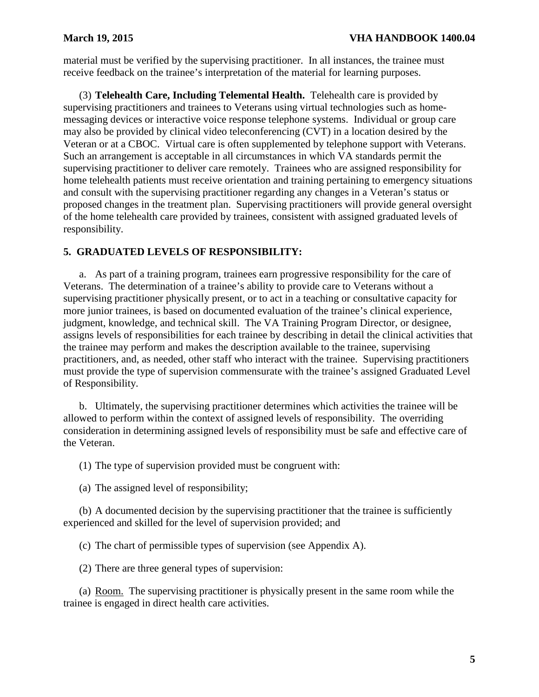material must be verified by the supervising practitioner. In all instances, the trainee must receive feedback on the trainee's interpretation of the material for learning purposes.

(3) **Telehealth Care, Including Telemental Health.** Telehealth care is provided by supervising practitioners and trainees to Veterans using virtual technologies such as homemessaging devices or interactive voice response telephone systems. Individual or group care may also be provided by clinical video teleconferencing (CVT) in a location desired by the Veteran or at a CBOC. Virtual care is often supplemented by telephone support with Veterans. Such an arrangement is acceptable in all circumstances in which VA standards permit the supervising practitioner to deliver care remotely. Trainees who are assigned responsibility for home telehealth patients must receive orientation and training pertaining to emergency situations and consult with the supervising practitioner regarding any changes in a Veteran's status or proposed changes in the treatment plan. Supervising practitioners will provide general oversight of the home telehealth care provided by trainees, consistent with assigned graduated levels of responsibility.

## <span id="page-6-0"></span>**5. GRADUATED LEVELS OF RESPONSIBILITY:**

a. As part of a training program, trainees earn progressive responsibility for the care of Veterans. The determination of a trainee's ability to provide care to Veterans without a supervising practitioner physically present, or to act in a teaching or consultative capacity for more junior trainees, is based on documented evaluation of the trainee's clinical experience, judgment, knowledge, and technical skill. The VA Training Program Director, or designee, assigns levels of responsibilities for each trainee by describing in detail the clinical activities that the trainee may perform and makes the description available to the trainee, supervising practitioners, and, as needed, other staff who interact with the trainee. Supervising practitioners must provide the type of supervision commensurate with the trainee's assigned Graduated Level of Responsibility.

b. Ultimately, the supervising practitioner determines which activities the trainee will be allowed to perform within the context of assigned levels of responsibility. The overriding consideration in determining assigned levels of responsibility must be safe and effective care of the Veteran.

(1) The type of supervision provided must be congruent with:

(a) The assigned level of responsibility;

(b) A documented decision by the supervising practitioner that the trainee is sufficiently experienced and skilled for the level of supervision provided; and

(c) The chart of permissible types of supervision (see Appendix A).

(2) There are three general types of supervision:

(a) Room. The supervising practitioner is physically present in the same room while the trainee is engaged in direct health care activities.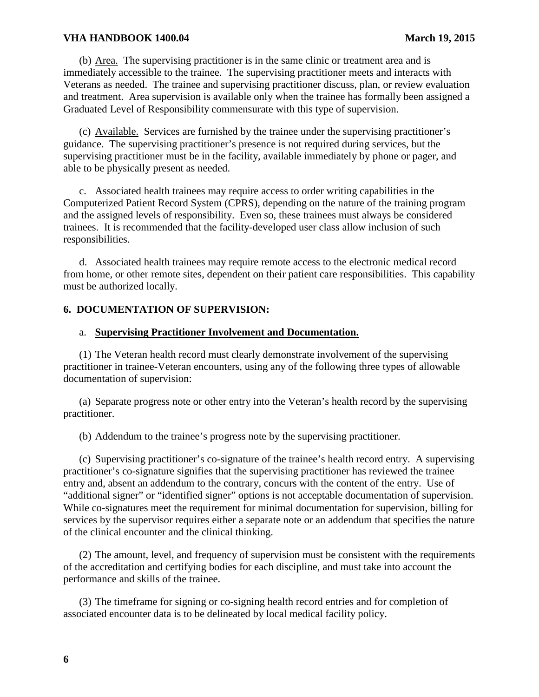(b) Area. The supervising practitioner is in the same clinic or treatment area and is immediately accessible to the trainee. The supervising practitioner meets and interacts with Veterans as needed. The trainee and supervising practitioner discuss, plan, or review evaluation and treatment. Area supervision is available only when the trainee has formally been assigned a Graduated Level of Responsibility commensurate with this type of supervision.

(c) Available. Services are furnished by the trainee under the supervising practitioner's guidance. The supervising practitioner's presence is not required during services, but the supervising practitioner must be in the facility, available immediately by phone or pager, and able to be physically present as needed.

c. Associated health trainees may require access to order writing capabilities in the Computerized Patient Record System (CPRS), depending on the nature of the training program and the assigned levels of responsibility. Even so, these trainees must always be considered trainees. It is recommended that the facility-developed user class allow inclusion of such responsibilities.

d. Associated health trainees may require remote access to the electronic medical record from home, or other remote sites, dependent on their patient care responsibilities. This capability must be authorized locally.

## <span id="page-7-0"></span>**6. DOCUMENTATION OF SUPERVISION:**

### a. **Supervising Practitioner Involvement and Documentation.**

(1) The Veteran health record must clearly demonstrate involvement of the supervising practitioner in trainee-Veteran encounters, using any of the following three types of allowable documentation of supervision:

(a) Separate progress note or other entry into the Veteran's health record by the supervising practitioner.

(b) Addendum to the trainee's progress note by the supervising practitioner.

(c) Supervising practitioner's co-signature of the trainee's health record entry. A supervising practitioner's co-signature signifies that the supervising practitioner has reviewed the trainee entry and, absent an addendum to the contrary, concurs with the content of the entry. Use of "additional signer" or "identified signer" options is not acceptable documentation of supervision. While co-signatures meet the requirement for minimal documentation for supervision, billing for services by the supervisor requires either a separate note or an addendum that specifies the nature of the clinical encounter and the clinical thinking.

(2) The amount, level, and frequency of supervision must be consistent with the requirements of the accreditation and certifying bodies for each discipline, and must take into account the performance and skills of the trainee.

(3) The timeframe for signing or co-signing health record entries and for completion of associated encounter data is to be delineated by local medical facility policy.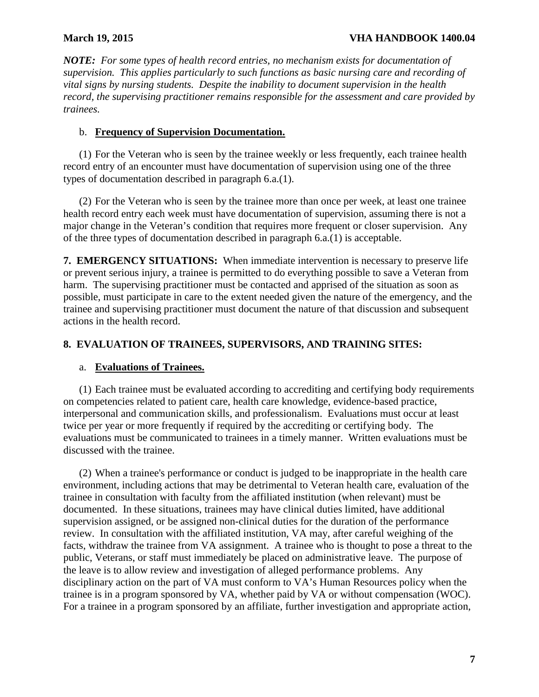*NOTE: For some types of health record entries, no mechanism exists for documentation of supervision. This applies particularly to such functions as basic nursing care and recording of vital signs by nursing students. Despite the inability to document supervision in the health record, the supervising practitioner remains responsible for the assessment and care provided by trainees.*

# b. **Frequency of Supervision Documentation.**

(1) For the Veteran who is seen by the trainee weekly or less frequently, each trainee health record entry of an encounter must have documentation of supervision using one of the three types of documentation described in paragraph 6.a.(1).

(2) For the Veteran who is seen by the trainee more than once per week, at least one trainee health record entry each week must have documentation of supervision, assuming there is not a major change in the Veteran's condition that requires more frequent or closer supervision. Any of the three types of documentation described in paragraph 6.a.(1) is acceptable.

<span id="page-8-0"></span>**7. EMERGENCY SITUATIONS:** When immediate intervention is necessary to preserve life or prevent serious injury, a trainee is permitted to do everything possible to save a Veteran from harm. The supervising practitioner must be contacted and apprised of the situation as soon as possible, must participate in care to the extent needed given the nature of the emergency, and the trainee and supervising practitioner must document the nature of that discussion and subsequent actions in the health record.

# <span id="page-8-1"></span>**8. EVALUATION OF TRAINEES, SUPERVISORS, AND TRAINING SITES:**

# a. **Evaluations of Trainees.**

(1) Each trainee must be evaluated according to accrediting and certifying body requirements on competencies related to patient care, health care knowledge, evidence-based practice, interpersonal and communication skills, and professionalism. Evaluations must occur at least twice per year or more frequently if required by the accrediting or certifying body. The evaluations must be communicated to trainees in a timely manner. Written evaluations must be discussed with the trainee.

(2) When a trainee's performance or conduct is judged to be inappropriate in the health care environment, including actions that may be detrimental to Veteran health care, evaluation of the trainee in consultation with faculty from the affiliated institution (when relevant) must be documented. In these situations, trainees may have clinical duties limited, have additional supervision assigned, or be assigned non-clinical duties for the duration of the performance review. In consultation with the affiliated institution, VA may, after careful weighing of the facts, withdraw the trainee from VA assignment. A trainee who is thought to pose a threat to the public, Veterans, or staff must immediately be placed on administrative leave. The purpose of the leave is to allow review and investigation of alleged performance problems. Any disciplinary action on the part of VA must conform to VA's Human Resources policy when the trainee is in a program sponsored by VA, whether paid by VA or without compensation (WOC). For a trainee in a program sponsored by an affiliate, further investigation and appropriate action,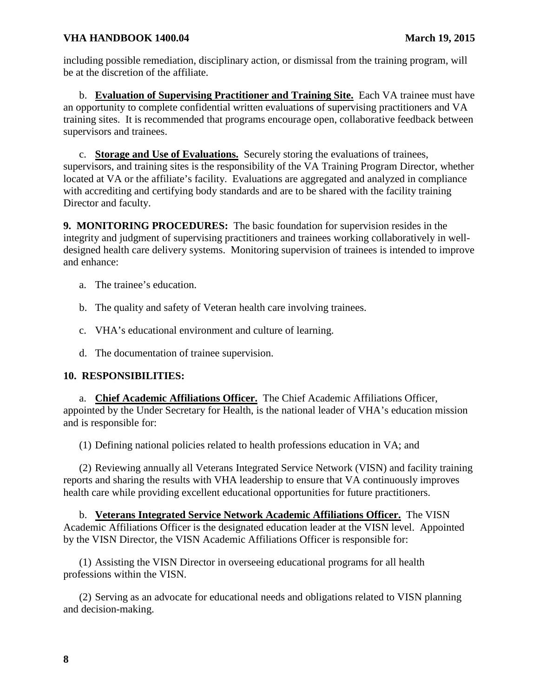including possible remediation, disciplinary action, or dismissal from the training program, will be at the discretion of the affiliate.

b. **Evaluation of Supervising Practitioner and Training Site.** Each VA trainee must have an opportunity to complete confidential written evaluations of supervising practitioners and VA training sites. It is recommended that programs encourage open, collaborative feedback between supervisors and trainees.

c. **Storage and Use of Evaluations.** Securely storing the evaluations of trainees, supervisors, and training sites is the responsibility of the VA Training Program Director, whether located at VA or the affiliate's facility. Evaluations are aggregated and analyzed in compliance with accrediting and certifying body standards and are to be shared with the facility training Director and faculty.

<span id="page-9-0"></span>**9. MONITORING PROCEDURES:** The basic foundation for supervision resides in the integrity and judgment of supervising practitioners and trainees working collaboratively in welldesigned health care delivery systems. Monitoring supervision of trainees is intended to improve and enhance:

- a. The trainee's education.
- b. The quality and safety of Veteran health care involving trainees.
- c. VHA's educational environment and culture of learning.
- d. The documentation of trainee supervision.

# <span id="page-9-1"></span>**10. RESPONSIBILITIES:**

a. **Chief Academic Affiliations Officer.** The Chief Academic Affiliations Officer, appointed by the Under Secretary for Health, is the national leader of VHA's education mission and is responsible for:

(1) Defining national policies related to health professions education in VA; and

(2) Reviewing annually all Veterans Integrated Service Network (VISN) and facility training reports and sharing the results with VHA leadership to ensure that VA continuously improves health care while providing excellent educational opportunities for future practitioners.

b. **Veterans Integrated Service Network Academic Affiliations Officer.** The VISN Academic Affiliations Officer is the designated education leader at the VISN level. Appointed by the VISN Director, the VISN Academic Affiliations Officer is responsible for:

(1) Assisting the VISN Director in overseeing educational programs for all health professions within the VISN.

(2) Serving as an advocate for educational needs and obligations related to VISN planning and decision-making.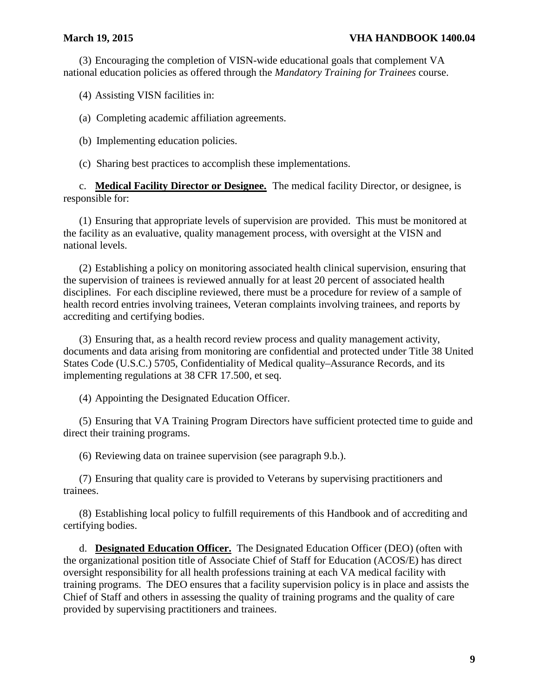(3) Encouraging the completion of VISN-wide educational goals that complement VA national education policies as offered through the *Mandatory Training for Trainees* course.

(4) Assisting VISN facilities in:

(a) Completing academic affiliation agreements.

(b) Implementing education policies.

(c) Sharing best practices to accomplish these implementations.

c. **Medical Facility Director or Designee.** The medical facility Director, or designee, is responsible for:

(1) Ensuring that appropriate levels of supervision are provided. This must be monitored at the facility as an evaluative, quality management process, with oversight at the VISN and national levels.

(2) Establishing a policy on monitoring associated health clinical supervision, ensuring that the supervision of trainees is reviewed annually for at least 20 percent of associated health disciplines. For each discipline reviewed, there must be a procedure for review of a sample of health record entries involving trainees, Veteran complaints involving trainees, and reports by accrediting and certifying bodies.

(3) Ensuring that, as a health record review process and quality management activity, documents and data arising from monitoring are confidential and protected under Title 38 United States Code (U.S.C.) 5705, Confidentiality of Medical quality–Assurance Records, and its implementing regulations at 38 CFR 17.500, et seq.

(4) Appointing the Designated Education Officer.

(5) Ensuring that VA Training Program Directors have sufficient protected time to guide and direct their training programs.

(6) Reviewing data on trainee supervision (see paragraph 9.b.).

(7) Ensuring that quality care is provided to Veterans by supervising practitioners and trainees.

(8) Establishing local policy to fulfill requirements of this Handbook and of accrediting and certifying bodies.

d. **Designated Education Officer.** The Designated Education Officer (DEO) (often with the organizational position title of Associate Chief of Staff for Education (ACOS/E) has direct oversight responsibility for all health professions training at each VA medical facility with training programs. The DEO ensures that a facility supervision policy is in place and assists the Chief of Staff and others in assessing the quality of training programs and the quality of care provided by supervising practitioners and trainees.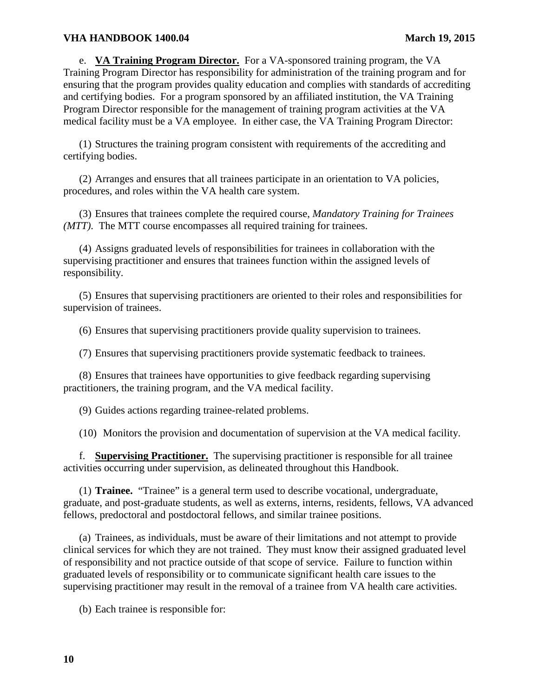e. **VA Training Program Director.** For a VA-sponsored training program, the VA Training Program Director has responsibility for administration of the training program and for ensuring that the program provides quality education and complies with standards of accrediting and certifying bodies. For a program sponsored by an affiliated institution, the VA Training Program Director responsible for the management of training program activities at the VA medical facility must be a VA employee. In either case, the VA Training Program Director:

(1) Structures the training program consistent with requirements of the accrediting and certifying bodies.

(2) Arranges and ensures that all trainees participate in an orientation to VA policies, procedures, and roles within the VA health care system.

(3) Ensures that trainees complete the required course, *Mandatory Training for Trainees (MTT)*. The MTT course encompasses all required training for trainees.

(4) Assigns graduated levels of responsibilities for trainees in collaboration with the supervising practitioner and ensures that trainees function within the assigned levels of responsibility.

(5) Ensures that supervising practitioners are oriented to their roles and responsibilities for supervision of trainees.

(6) Ensures that supervising practitioners provide quality supervision to trainees.

(7) Ensures that supervising practitioners provide systematic feedback to trainees.

(8) Ensures that trainees have opportunities to give feedback regarding supervising practitioners, the training program, and the VA medical facility.

(9) Guides actions regarding trainee-related problems.

(10) Monitors the provision and documentation of supervision at the VA medical facility.

f. **Supervising Practitioner.** The supervising practitioner is responsible for all trainee activities occurring under supervision, as delineated throughout this Handbook.

(1) **Trainee.** "Trainee" is a general term used to describe vocational, undergraduate, graduate, and post-graduate students, as well as externs, interns, residents, fellows, VA advanced fellows, predoctoral and postdoctoral fellows, and similar trainee positions.

(a) Trainees, as individuals, must be aware of their limitations and not attempt to provide clinical services for which they are not trained. They must know their assigned graduated level of responsibility and not practice outside of that scope of service. Failure to function within graduated levels of responsibility or to communicate significant health care issues to the supervising practitioner may result in the removal of a trainee from VA health care activities.

(b) Each trainee is responsible for: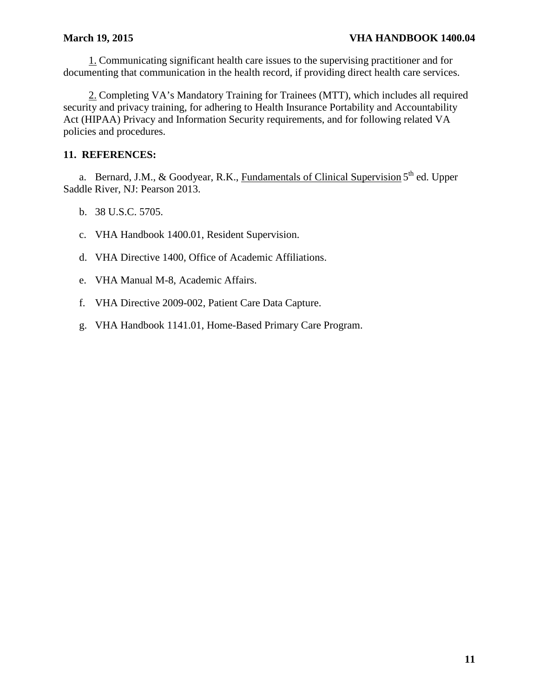1. Communicating significant health care issues to the supervising practitioner and for documenting that communication in the health record, if providing direct health care services.

2. Completing VA's Mandatory Training for Trainees (MTT), which includes all required security and privacy training, for adhering to Health Insurance Portability and Accountability Act (HIPAA) Privacy and Information Security requirements, and for following related VA policies and procedures.

# <span id="page-12-0"></span>**11. REFERENCES:**

a. Bernard, J.M., & Goodyear, R.K., Fundamentals of Clinical Supervision 5<sup>th</sup> ed. Upper Saddle River, NJ: Pearson 2013.

- b. 38 U.S.C. 5705.
- c. VHA Handbook 1400.01, Resident Supervision.
- d. VHA Directive 1400, Office of Academic Affiliations.
- e. VHA Manual M-8, Academic Affairs.
- f. VHA Directive 2009-002, Patient Care Data Capture.
- g. VHA Handbook 1141.01, Home-Based Primary Care Program.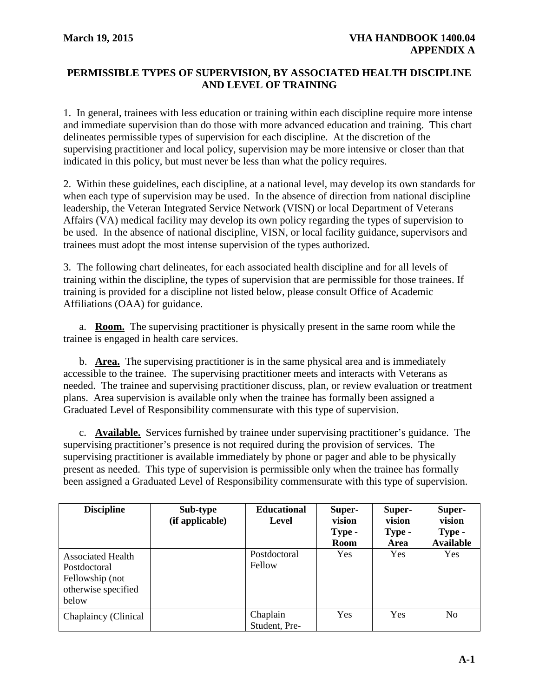# <span id="page-13-0"></span>**PERMISSIBLE TYPES OF SUPERVISION, BY ASSOCIATED HEALTH DISCIPLINE AND LEVEL OF TRAINING**

1. In general, trainees with less education or training within each discipline require more intense and immediate supervision than do those with more advanced education and training. This chart delineates permissible types of supervision for each discipline. At the discretion of the supervising practitioner and local policy, supervision may be more intensive or closer than that indicated in this policy, but must never be less than what the policy requires.

2. Within these guidelines, each discipline, at a national level, may develop its own standards for when each type of supervision may be used. In the absence of direction from national discipline leadership, the Veteran Integrated Service Network (VISN) or local Department of Veterans Affairs (VA) medical facility may develop its own policy regarding the types of supervision to be used. In the absence of national discipline, VISN, or local facility guidance, supervisors and trainees must adopt the most intense supervision of the types authorized.

3. The following chart delineates, for each associated health discipline and for all levels of training within the discipline, the types of supervision that are permissible for those trainees. If training is provided for a discipline not listed below, please consult Office of Academic Affiliations (OAA) for guidance.

a. **Room.** The supervising practitioner is physically present in the same room while the trainee is engaged in health care services.

b. **Area.** The supervising practitioner is in the same physical area and is immediately accessible to the trainee. The supervising practitioner meets and interacts with Veterans as needed. The trainee and supervising practitioner discuss, plan, or review evaluation or treatment plans. Area supervision is available only when the trainee has formally been assigned a Graduated Level of Responsibility commensurate with this type of supervision.

c. **Available.** Services furnished by trainee under supervising practitioner's guidance. The supervising practitioner's presence is not required during the provision of services. The supervising practitioner is available immediately by phone or pager and able to be physically present as needed. This type of supervision is permissible only when the trainee has formally been assigned a Graduated Level of Responsibility commensurate with this type of supervision.

| <b>Discipline</b>                                                                           | Sub-type<br>(if applicable) | <b>Educational</b><br>Level | Super-<br>vision<br>Type -<br>Room | Super-<br>vision<br>Type -<br>Area | Super-<br>vision<br>Type -<br><b>Available</b> |
|---------------------------------------------------------------------------------------------|-----------------------------|-----------------------------|------------------------------------|------------------------------------|------------------------------------------------|
| <b>Associated Health</b><br>Postdoctoral<br>Fellowship (not<br>otherwise specified<br>below |                             | Postdoctoral<br>Fellow      | <b>Yes</b>                         | Yes                                | Yes                                            |
| Chaplaincy (Clinical                                                                        |                             | Chaplain<br>Student, Pre-   | Yes                                | Yes                                | N <sub>0</sub>                                 |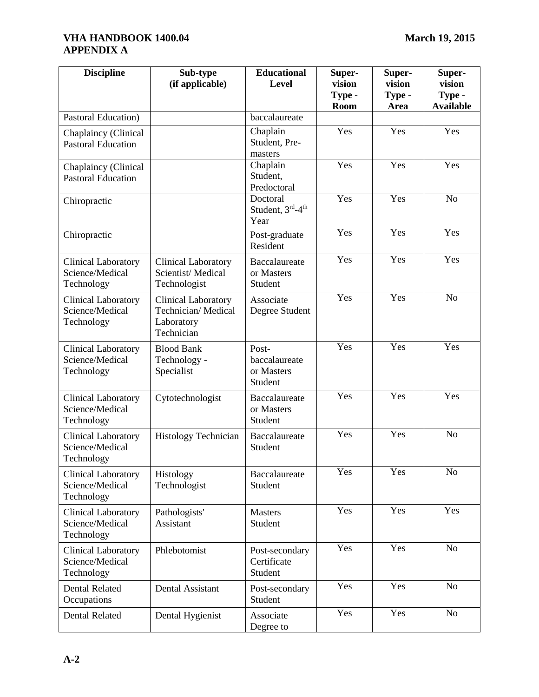| <b>Discipline</b>                                           | Sub-type<br>(if applicable)                                                  | <b>Educational</b><br>Level                      | Super-<br>vision | Super-<br>vision | Super-<br>vision           |
|-------------------------------------------------------------|------------------------------------------------------------------------------|--------------------------------------------------|------------------|------------------|----------------------------|
|                                                             |                                                                              |                                                  | Type -<br>Room   | Type -<br>Area   | Type -<br><b>Available</b> |
| Pastoral Education)                                         |                                                                              | baccalaureate                                    |                  |                  |                            |
| Chaplaincy (Clinical<br><b>Pastoral Education</b>           |                                                                              | Chaplain<br>Student, Pre-<br>masters             | Yes              | Yes              | Yes                        |
| Chaplaincy (Clinical<br><b>Pastoral Education</b>           |                                                                              | Chaplain<br>Student,<br>Predoctoral              | Yes              | Yes              | Yes                        |
| Chiropractic                                                |                                                                              | Doctoral<br>Student, 3rd-4 <sup>th</sup><br>Year | Yes              | Yes              | N <sub>o</sub>             |
| Chiropractic                                                |                                                                              | Post-graduate<br>Resident                        | Yes              | Yes              | Yes                        |
| <b>Clinical Laboratory</b><br>Science/Medical<br>Technology | <b>Clinical Laboratory</b><br>Scientist/Medical<br>Technologist              | Baccalaureate<br>or Masters<br>Student           | Yes              | Yes              | Yes                        |
| <b>Clinical Laboratory</b><br>Science/Medical<br>Technology | <b>Clinical Laboratory</b><br>Technician/Medical<br>Laboratory<br>Technician | Associate<br>Degree Student                      | Yes              | Yes              | N <sub>o</sub>             |
| <b>Clinical Laboratory</b><br>Science/Medical<br>Technology | <b>Blood Bank</b><br>Technology -<br>Specialist                              | Post-<br>baccalaureate<br>or Masters<br>Student  | Yes              | Yes              | Yes                        |
| <b>Clinical Laboratory</b><br>Science/Medical<br>Technology | Cytotechnologist                                                             | Baccalaureate<br>or Masters<br>Student           | Yes              | Yes              | Yes                        |
| <b>Clinical Laboratory</b><br>Science/Medical<br>Technology | Histology Technician                                                         | Baccalaureate<br>Student                         | Yes              | Yes              | N <sub>o</sub>             |
| Clinical Laboratory<br>Science/Medical<br>Technology        | Histology<br>Technologist                                                    | Baccalaureate<br>Student                         | Yes              | Yes              | N <sub>o</sub>             |
| <b>Clinical Laboratory</b><br>Science/Medical<br>Technology | Pathologists'<br>Assistant                                                   | <b>Masters</b><br>Student                        | Yes              | Yes              | Yes                        |
| <b>Clinical Laboratory</b><br>Science/Medical<br>Technology | Phlebotomist                                                                 | Post-secondary<br>Certificate<br>Student         | Yes              | Yes              | No                         |
| <b>Dental Related</b><br>Occupations                        | Dental Assistant                                                             | Post-secondary<br>Student                        | Yes              | Yes              | No                         |
| <b>Dental Related</b>                                       | Dental Hygienist                                                             | Associate<br>Degree to                           | Yes              | Yes              | No                         |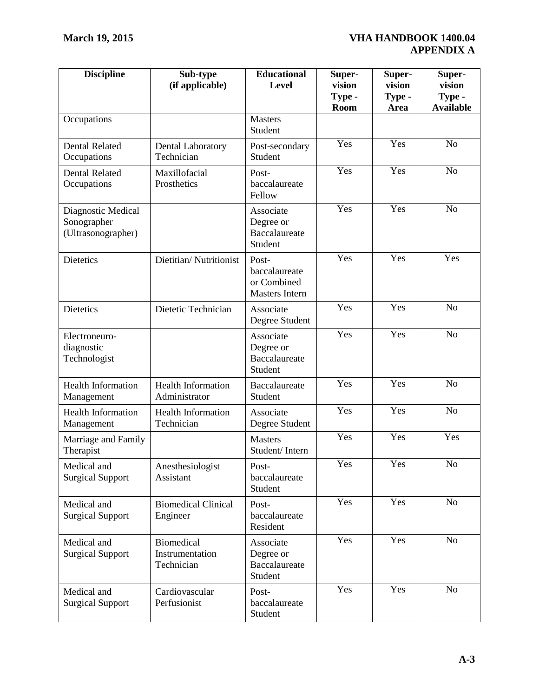| <b>Discipline</b>                                       | Sub-type<br>(if applicable)                        | <b>Educational</b><br><b>Level</b>                             | Super-<br>vision<br>Type -<br><b>Room</b> | Super-<br>vision<br>Type -<br>Area | Super-<br>vision<br>Type -<br><b>Available</b> |
|---------------------------------------------------------|----------------------------------------------------|----------------------------------------------------------------|-------------------------------------------|------------------------------------|------------------------------------------------|
| Occupations                                             |                                                    | <b>Masters</b><br>Student                                      |                                           |                                    |                                                |
| <b>Dental Related</b><br>Occupations                    | Dental Laboratory<br>Technician                    | Post-secondary<br>Student                                      | Yes                                       | Yes                                | N <sub>o</sub>                                 |
| <b>Dental Related</b><br>Occupations                    | Maxillofacial<br>Prosthetics                       | Post-<br>baccalaureate<br>Fellow                               | Yes                                       | Yes                                | N <sub>o</sub>                                 |
| Diagnostic Medical<br>Sonographer<br>(Ultrasonographer) |                                                    | Associate<br>Degree or<br>Baccalaureate<br>Student             | Yes                                       | Yes                                | N <sub>o</sub>                                 |
| <b>Dietetics</b>                                        | Dietitian/Nutritionist                             | Post-<br>baccalaureate<br>or Combined<br><b>Masters Intern</b> | Yes                                       | Yes                                | Yes                                            |
| <b>Dietetics</b>                                        | Dietetic Technician                                | Associate<br>Degree Student                                    | Yes                                       | Yes                                | N <sub>o</sub>                                 |
| Electroneuro-<br>diagnostic<br>Technologist             |                                                    | Associate<br>Degree or<br><b>Baccalaureate</b><br>Student      | Yes                                       | $\overline{Y}$ es                  | No                                             |
| <b>Health Information</b><br>Management                 | <b>Health Information</b><br>Administrator         | Baccalaureate<br>Student                                       | Yes                                       | Yes                                | N <sub>o</sub>                                 |
| <b>Health Information</b><br>Management                 | <b>Health Information</b><br>Technician            | Associate<br>Degree Student                                    | Yes                                       | Yes                                | N <sub>o</sub>                                 |
| Marriage and Family<br>Therapist                        |                                                    | <b>Masters</b><br>Student/Intern                               | Yes                                       | Yes                                | Yes                                            |
| Medical and<br><b>Surgical Support</b>                  | Anesthesiologist<br>Assistant                      | Post-<br>baccalaureate<br>Student                              | Yes                                       | Yes                                | $\overline{No}$                                |
| Medical and<br><b>Surgical Support</b>                  | <b>Biomedical Clinical</b><br>Engineer             | Post-<br>baccalaureate<br>Resident                             | Yes                                       | Yes                                | N <sub>0</sub>                                 |
| Medical and<br><b>Surgical Support</b>                  | <b>Biomedical</b><br>Instrumentation<br>Technician | Associate<br>Degree or<br>Baccalaureate<br>Student             | Yes                                       | Yes                                | No                                             |
| Medical and<br><b>Surgical Support</b>                  | Cardiovascular<br>Perfusionist                     | Post-<br>baccalaureate<br>Student                              | Yes                                       | Yes                                | N <sub>o</sub>                                 |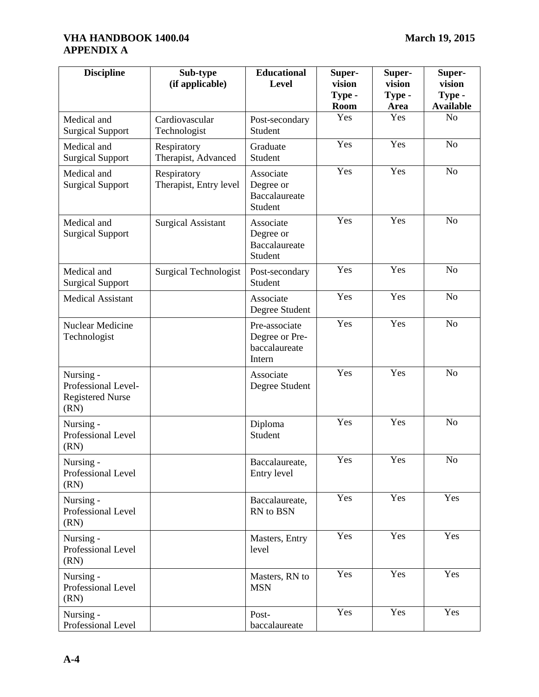| <b>Discipline</b>                                                   | Sub-type<br>(if applicable)           | <b>Educational</b><br>Level                                | Super-<br>vision<br>Type -<br>Room | Super-<br>vision<br>Type -<br><b>Area</b> | Super-<br>vision<br>Type -<br><b>Available</b> |
|---------------------------------------------------------------------|---------------------------------------|------------------------------------------------------------|------------------------------------|-------------------------------------------|------------------------------------------------|
| Medical and<br><b>Surgical Support</b>                              | Cardiovascular<br>Technologist        | Post-secondary<br>Student                                  | Yes                                | Yes                                       | N <sub>o</sub>                                 |
| Medical and<br><b>Surgical Support</b>                              | Respiratory<br>Therapist, Advanced    | Graduate<br>Student                                        | Yes                                | Yes                                       | N <sub>o</sub>                                 |
| Medical and<br><b>Surgical Support</b>                              | Respiratory<br>Therapist, Entry level | Associate<br>Degree or<br>Baccalaureate<br>Student         | Yes                                | Yes                                       | N <sub>o</sub>                                 |
| Medical and<br><b>Surgical Support</b>                              | <b>Surgical Assistant</b>             | Associate<br>Degree or<br>Baccalaureate<br>Student         | Yes                                | Yes                                       | N <sub>o</sub>                                 |
| Medical and<br><b>Surgical Support</b>                              | <b>Surgical Technologist</b>          | Post-secondary<br>Student                                  | Yes                                | Yes                                       | N <sub>o</sub>                                 |
| <b>Medical Assistant</b>                                            |                                       | Associate<br>Degree Student                                | Yes                                | Yes                                       | N <sub>o</sub>                                 |
| Nuclear Medicine<br>Technologist                                    |                                       | Pre-associate<br>Degree or Pre-<br>baccalaureate<br>Intern | Yes                                | Yes                                       | N <sub>o</sub>                                 |
| Nursing -<br>Professional Level-<br><b>Registered Nurse</b><br>(RN) |                                       | Associate<br>Degree Student                                | Yes                                | Yes                                       | N <sub>o</sub>                                 |
| Nursing -<br>Professional Level<br>(RN)                             |                                       | Diploma<br>Student                                         | Yes                                | Yes                                       | N <sub>o</sub>                                 |
| Nursing -<br>Professional Level<br>(RN)                             |                                       | Baccalaureate,<br>Entry level                              | Yes                                | Yes                                       | No                                             |
| Nursing -<br>Professional Level<br>(RN)                             |                                       | Baccalaureate,<br>RN to BSN                                | Yes                                | Yes                                       | Yes                                            |
| Nursing -<br>Professional Level<br>(RN)                             |                                       | Masters, Entry<br>level                                    | Yes                                | Yes                                       | Yes                                            |
| Nursing -<br>Professional Level<br>(RN)                             |                                       | Masters, RN to<br><b>MSN</b>                               | Yes                                | Yes                                       | Yes                                            |
| Nursing -<br>Professional Level                                     |                                       | Post-<br>baccalaureate                                     | Yes                                | Yes                                       | Yes                                            |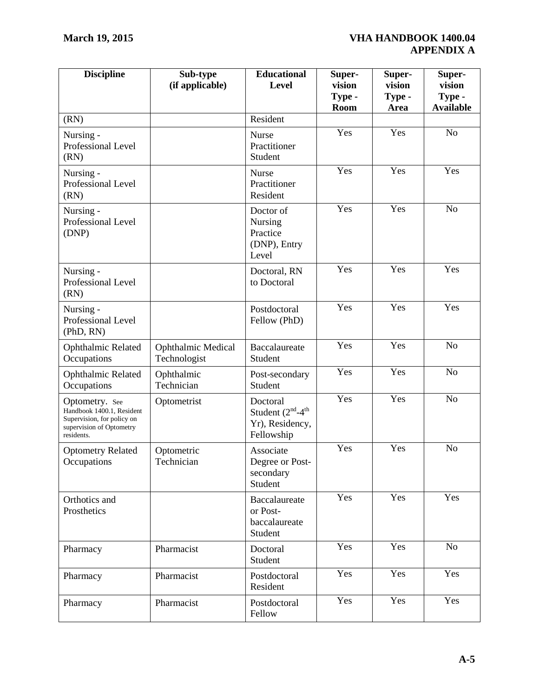| <b>Discipline</b>                                                                                                   | Sub-type<br>(if applicable)        | <b>Educational</b><br>Level                                              | Super-<br>vision<br>Type -<br>Room | Super-<br>vision<br>Type -<br>Area | Super-<br>vision<br>Type -<br><b>Available</b> |
|---------------------------------------------------------------------------------------------------------------------|------------------------------------|--------------------------------------------------------------------------|------------------------------------|------------------------------------|------------------------------------------------|
| (RN)                                                                                                                |                                    | Resident                                                                 |                                    |                                    |                                                |
| Nursing -<br>Professional Level<br>(RN)                                                                             |                                    | <b>Nurse</b><br>Practitioner<br>Student                                  | Yes                                | Yes                                | N <sub>o</sub>                                 |
| Nursing -<br>Professional Level<br>(RN)                                                                             |                                    | <b>Nurse</b><br>Practitioner<br>Resident                                 | Yes                                | Yes                                | Yes                                            |
| Nursing -<br>Professional Level<br>(DNP)                                                                            |                                    | Doctor of<br>Nursing<br>Practice<br>(DNP), Entry<br>Level                | Yes                                | Yes                                | N <sub>o</sub>                                 |
| Nursing -<br>Professional Level<br>(RN)                                                                             |                                    | Doctoral, RN<br>to Doctoral                                              | Yes                                | Yes                                | Yes                                            |
| Nursing -<br>Professional Level<br>(PhD, RN)                                                                        |                                    | Postdoctoral<br>Fellow (PhD)                                             | Yes                                | Yes                                | Yes                                            |
| Ophthalmic Related<br>Occupations                                                                                   | Ophthalmic Medical<br>Technologist | Baccalaureate<br>Student                                                 | Yes                                | Yes                                | N <sub>o</sub>                                 |
| Ophthalmic Related<br>Occupations                                                                                   | Ophthalmic<br>Technician           | Post-secondary<br>Student                                                | Yes                                | Yes                                | N <sub>o</sub>                                 |
| Optometry. See<br>Handbook 1400.1, Resident<br>Supervision, for policy on<br>supervision of Optometry<br>residents. | Optometrist                        | Doctoral<br>Student $(2^{nd} - 4^{th})$<br>Yr), Residency,<br>Fellowship | Yes                                | Yes                                | N <sub>o</sub>                                 |
| <b>Optometry Related</b><br>Occupations                                                                             | Optometric<br>Technician           | Associate<br>Degree or Post-<br>secondary<br>Student                     | Yes                                | Yes                                | N <sub>o</sub>                                 |
| Orthotics and<br>Prosthetics                                                                                        |                                    | Baccalaureate<br>or Post-<br>baccalaureate<br>Student                    | Yes                                | Yes                                | Yes                                            |
| Pharmacy                                                                                                            | Pharmacist                         | Doctoral<br>Student                                                      | Yes                                | Yes                                | N <sub>o</sub>                                 |
| Pharmacy                                                                                                            | Pharmacist                         | Postdoctoral<br>Resident                                                 | Yes                                | Yes                                | Yes                                            |
| Pharmacy                                                                                                            | Pharmacist                         | Postdoctoral<br>Fellow                                                   | Yes                                | Yes                                | Yes                                            |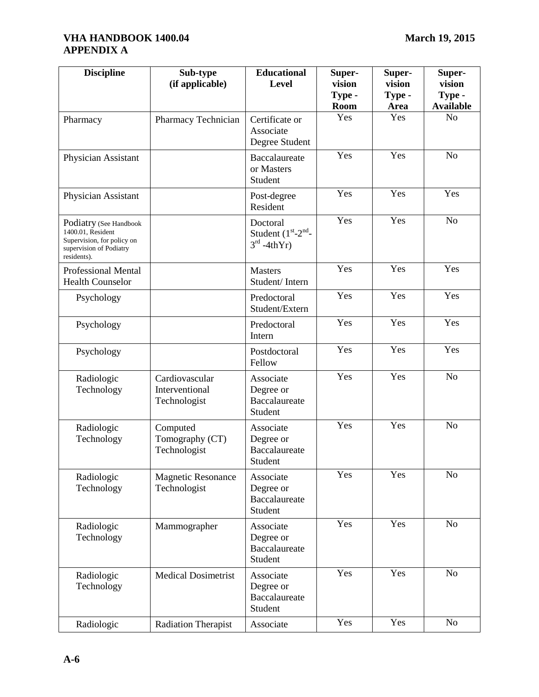# **VHA HANDBOOK 1400.04 March 19, 2015 APPENDIX A**

| <b>Discipline</b>                                                                                                   | Sub-type<br>(if applicable)                      | <b>Educational</b><br>Level                               | Super-<br>vision<br>Type -<br><b>Room</b> | Super-<br>vision<br>Type -<br>Area | Super-<br>vision<br>Type -<br><b>Available</b> |
|---------------------------------------------------------------------------------------------------------------------|--------------------------------------------------|-----------------------------------------------------------|-------------------------------------------|------------------------------------|------------------------------------------------|
| Pharmacy                                                                                                            | Pharmacy Technician                              | Certificate or<br>Associate<br>Degree Student             | Yes                                       | Yes                                | N <sub>o</sub>                                 |
| Physician Assistant                                                                                                 |                                                  | Baccalaureate<br>or Masters<br>Student                    | Yes                                       | Yes                                | N <sub>o</sub>                                 |
| Physician Assistant                                                                                                 |                                                  | Post-degree<br>Resident                                   | Yes                                       | Yes                                | Yes                                            |
| Podiatry (See Handbook<br>1400.01, Resident<br>Supervision, for policy on<br>supervision of Podiatry<br>residents). |                                                  | Doctoral<br>Student $(1st-2nd-$<br>$3rd -4thYr$           | Yes                                       | Yes                                | N <sub>o</sub>                                 |
| <b>Professional Mental</b><br><b>Health Counselor</b>                                                               |                                                  | <b>Masters</b><br>Student/Intern                          | Yes                                       | Yes                                | Yes                                            |
| Psychology                                                                                                          |                                                  | Predoctoral<br>Student/Extern                             | Yes                                       | Yes                                | Yes                                            |
| Psychology                                                                                                          |                                                  | Predoctoral<br>Intern                                     | Yes                                       | Yes                                | Yes                                            |
| Psychology                                                                                                          |                                                  | Postdoctoral<br>Fellow                                    | Yes                                       | Yes                                | Yes                                            |
| Radiologic<br>Technology                                                                                            | Cardiovascular<br>Interventional<br>Technologist | Associate<br>Degree or<br>Baccalaureate<br>Student        | Yes                                       | Yes                                | N <sub>o</sub>                                 |
| Radiologic<br>Technology                                                                                            | Computed<br>Tomography (CT)<br>Technologist      | Associate<br>Degree or<br>Baccalaureate<br>Student        | Yes                                       | Yes                                | N <sub>o</sub>                                 |
| Radiologic<br>Technology                                                                                            | <b>Magnetic Resonance</b><br>Technologist        | Associate<br>Degree or<br><b>Baccalaureate</b><br>Student | Yes                                       | Yes                                | N <sub>o</sub>                                 |
| Radiologic<br>Technology                                                                                            | Mammographer                                     | Associate<br>Degree or<br>Baccalaureate<br>Student        | Yes                                       | Yes                                | N <sub>o</sub>                                 |
| Radiologic<br>Technology                                                                                            | <b>Medical Dosimetrist</b>                       | Associate<br>Degree or<br>Baccalaureate<br>Student        | Yes                                       | Yes                                | N <sub>o</sub>                                 |
| Radiologic                                                                                                          | <b>Radiation Therapist</b>                       | Associate                                                 | Yes                                       | Yes                                | N <sub>o</sub>                                 |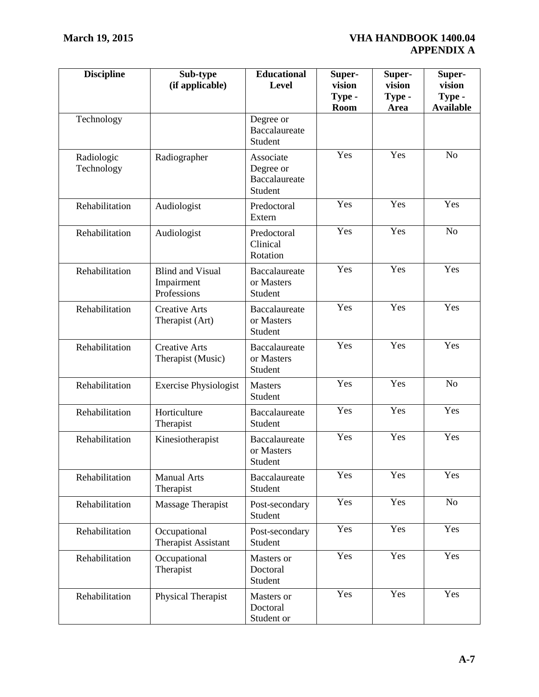| <b>Discipline</b>        | Sub-type<br>(if applicable)                          | <b>Educational</b><br>Level                               | Super-<br>vision<br>Type -<br><b>Room</b> | Super-<br>vision<br>Type -<br>Area | Super-<br>vision<br>Type -<br><b>Available</b> |
|--------------------------|------------------------------------------------------|-----------------------------------------------------------|-------------------------------------------|------------------------------------|------------------------------------------------|
| Technology               |                                                      | Degree or<br>Baccalaureate<br>Student                     |                                           |                                    |                                                |
| Radiologic<br>Technology | Radiographer                                         | Associate<br>Degree or<br><b>Baccalaureate</b><br>Student | Yes                                       | Yes                                | N <sub>o</sub>                                 |
| Rehabilitation           | Audiologist                                          | Predoctoral<br>Extern                                     | $\overline{Y}$ es                         | Yes                                | Yes                                            |
| Rehabilitation           | Audiologist                                          | Predoctoral<br>Clinical<br>Rotation                       | Yes                                       | Yes                                | N <sub>o</sub>                                 |
| Rehabilitation           | <b>Blind and Visual</b><br>Impairment<br>Professions | Baccalaureate<br>or Masters<br>Student                    | Yes                                       | Yes                                | Yes                                            |
| Rehabilitation           | <b>Creative Arts</b><br>Therapist (Art)              | Baccalaureate<br>or Masters<br>Student                    | Yes                                       | Yes                                | Yes                                            |
| Rehabilitation           | <b>Creative Arts</b><br>Therapist (Music)            | Baccalaureate<br>or Masters<br>Student                    | Yes                                       | Yes                                | Yes                                            |
| Rehabilitation           | <b>Exercise Physiologist</b>                         | <b>Masters</b><br>Student                                 | Yes                                       | Yes                                | N <sub>o</sub>                                 |
| Rehabilitation           | Horticulture<br>Therapist                            | Baccalaureate<br>Student                                  | Yes                                       | Yes                                | Yes                                            |
| Rehabilitation           | Kinesiotherapist                                     | Baccalaureate<br>or Masters<br>Student                    | Yes                                       | Yes                                | Yes                                            |
| Rehabilitation           | <b>Manual Arts</b><br>Therapist                      | Baccalaureate<br>Student                                  | Yes                                       | Yes                                | Yes                                            |
| Rehabilitation           | Massage Therapist                                    | Post-secondary<br>Student                                 | Yes                                       | Yes                                | N <sub>o</sub>                                 |
| Rehabilitation           | Occupational<br><b>Therapist Assistant</b>           | Post-secondary<br>Student                                 | Yes                                       | Yes                                | Yes                                            |
| Rehabilitation           | Occupational<br>Therapist                            | Masters or<br>Doctoral<br>Student                         | Yes                                       | Yes                                | Yes                                            |
| Rehabilitation           | Physical Therapist                                   | Masters or<br>Doctoral<br>Student or                      | Yes                                       | Yes                                | Yes                                            |